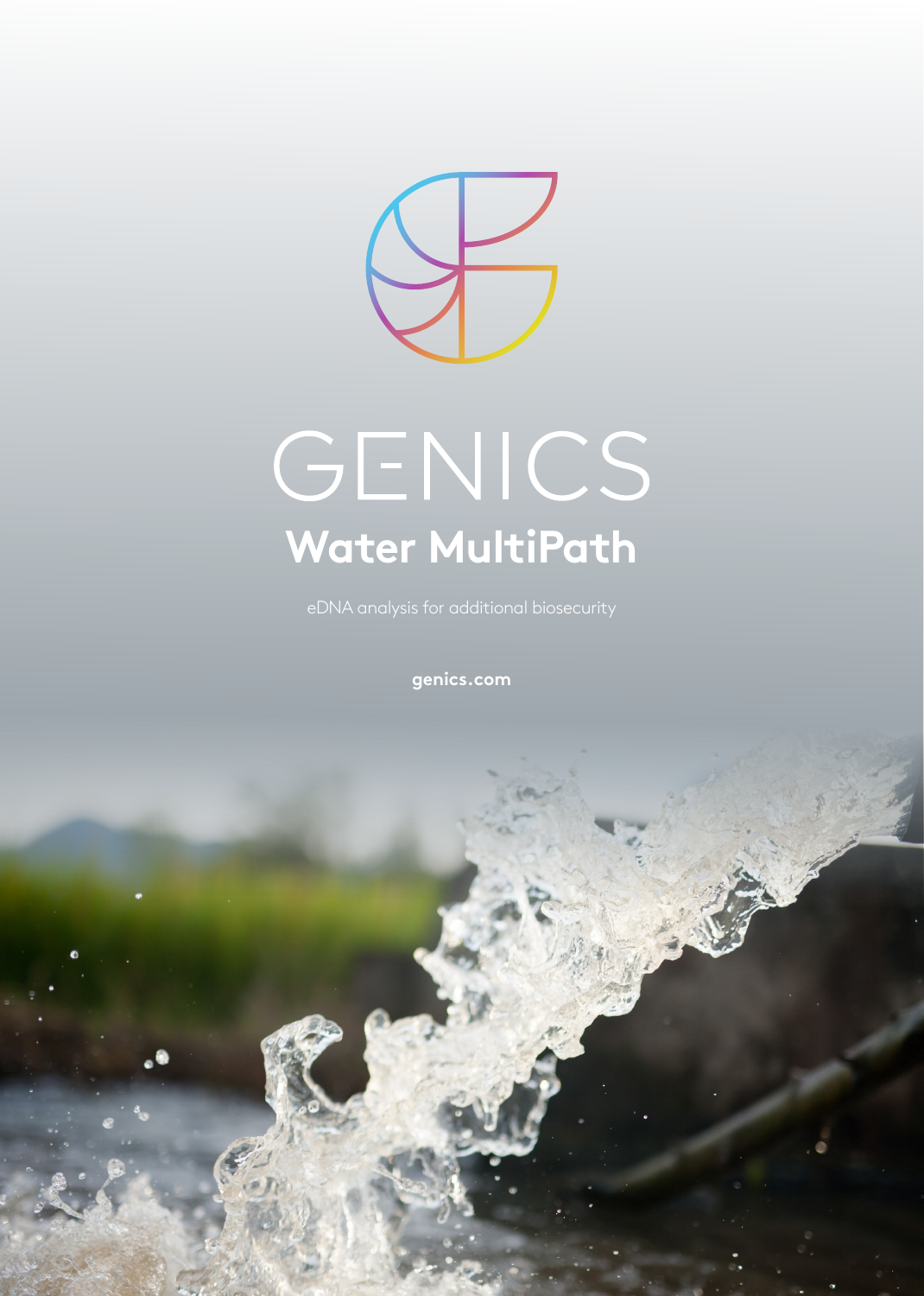

# GENICS **Water MultiPath**

eDNA analysis for additional biosecurity

**[genics.com](https://www.porkmultipath.com)**